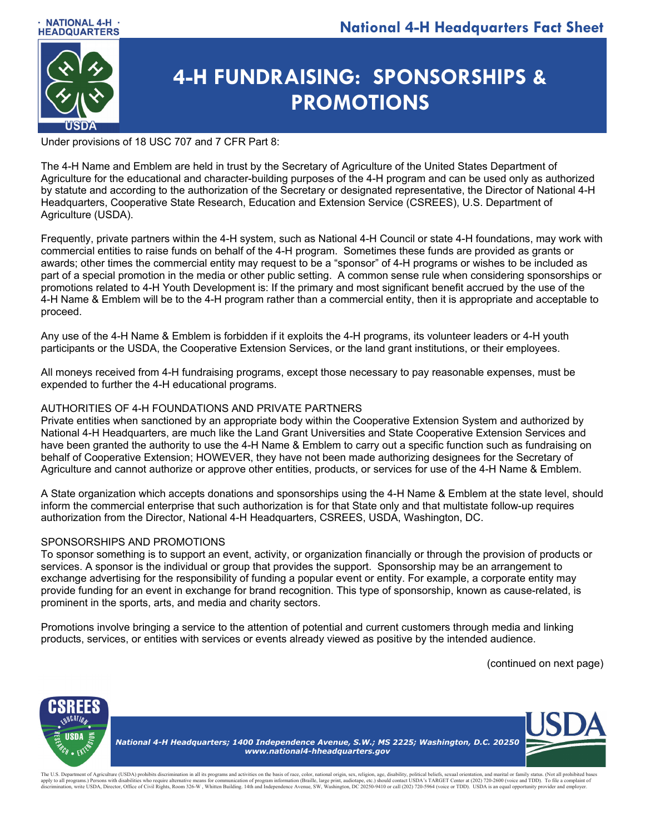

# **4-H FUNDRAISING: SPONSORSHIPS & PROMOTIONS**

Under provisions of 18 USC 707 and 7 CFR Part 8:

The 4-H Name and Emblem are held in trust by the Secretary of Agriculture of the United States Department of Agriculture for the educational and character-building purposes of the 4-H program and can be used only as authorized by statute and according to the authorization of the Secretary or designated representative, the Director of National 4-H Headquarters, Cooperative State Research, Education and Extension Service (CSREES), U.S. Department of Agriculture (USDA).

Frequently, private partners within the 4-H system, such as National 4-H Council or state 4-H foundations, may work with commercial entities to raise funds on behalf of the 4-H program. Sometimes these funds are provided as grants or awards; other times the commercial entity may request to be a "sponsor" of 4-H programs or wishes to be included as part of a special promotion in the media or other public setting. A common sense rule when considering sponsorships or promotions related to 4-H Youth Development is: If the primary and most significant benefit accrued by the use of the 4-H Name & Emblem will be to the 4-H program rather than a commercial entity, then it is appropriate and acceptable to proceed.

Any use of the 4-H Name & Emblem is forbidden if it exploits the 4-H programs, its volunteer leaders or 4-H youth participants or the USDA, the Cooperative Extension Services, or the land grant institutions, or their employees.

All moneys received from 4-H fundraising programs, except those necessary to pay reasonable expenses, must be expended to further the 4-H educational programs.

### AUTHORITIES OF 4-H FOUNDATIONS AND PRIVATE PARTNERS

Private entities when sanctioned by an appropriate body within the Cooperative Extension System and authorized by National 4-H Headquarters, are much like the Land Grant Universities and State Cooperative Extension Services and have been granted the authority to use the 4-H Name & Emblem to carry out a specific function such as fundraising on behalf of Cooperative Extension; HOWEVER, they have not been made authorizing designees for the Secretary of Agriculture and cannot authorize or approve other entities, products, or services for use of the 4-H Name & Emblem.

A State organization which accepts donations and sponsorships using the 4-H Name & Emblem at the state level, should inform the commercial enterprise that such authorization is for that State only and that multistate follow-up requires authorization from the Director, National 4-H Headquarters, CSREES, USDA, Washington, DC.

### SPONSORSHIPS AND PROMOTIONS

To sponsor something is to support an event, activity, or organization financially or through the provision of products or services. A sponsor is the individual or group that provides the support. Sponsorship may be an arrangement to exchange advertising for the responsibility of funding a popular event or entity. For example, a corporate entity may provide funding for an event in exchange for brand recognition. This type of sponsorship, known as cause-related, is prominent in the sports, arts, and media and charity sectors.

Promotions involve bringing a service to the attention of potential and current customers through media and linking products, services, or entities with services or events already viewed as positive by the intended audience.

(continued on next page)



The U.S. Department of Agriculture (USDA) prohibits discrimination in all its programs and activities on the basis of race, color, national origin, sex, religion, age, disability, political beliefs, sexual origntation, and apply to all programs.) Persons with disabilities who require alternative means for communication of program information (Braille, large print, audiotape, etc.) should contact USDA's TARGET Center at (202) 720-2600 (voice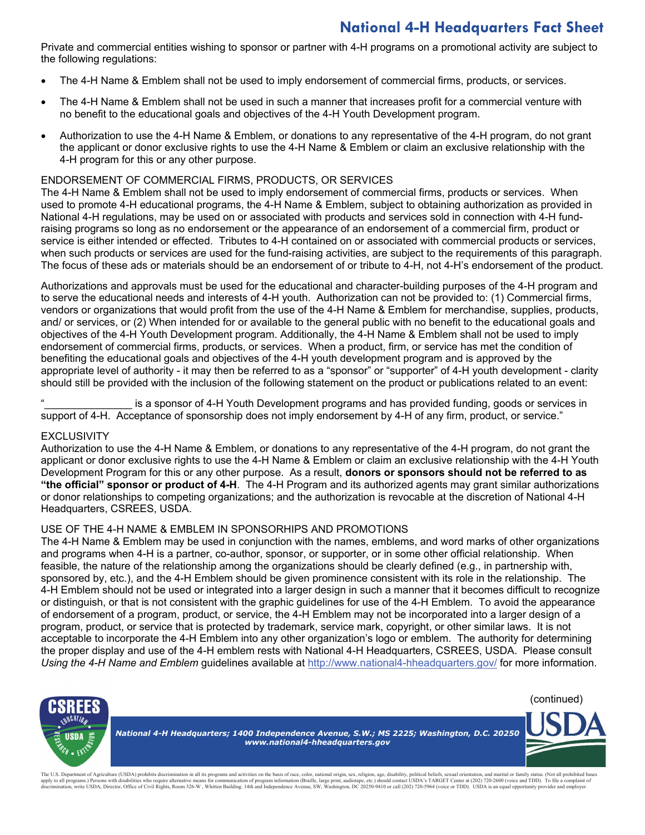# **National 4-H Headquarters Fact Sheet**

Private and commercial entities wishing to sponsor or partner with 4-H programs on a promotional activity are subject to the following regulations:

- The 4-H Name & Emblem shall not be used to imply endorsement of commercial firms, products, or services.
- The 4-H Name & Emblem shall not be used in such a manner that increases profit for a commercial venture with no benefit to the educational goals and objectives of the 4-H Youth Development program.
- Authorization to use the 4-H Name & Emblem, or donations to any representative of the 4-H program, do not grant the applicant or donor exclusive rights to use the 4-H Name & Emblem or claim an exclusive relationship with the 4-H program for this or any other purpose.

#### ENDORSEMENT OF COMMERCIAL FIRMS, PRODUCTS, OR SERVICES

The 4-H Name & Emblem shall not be used to imply endorsement of commercial firms, products or services. When used to promote 4-H educational programs, the 4-H Name & Emblem, subject to obtaining authorization as provided in National 4-H regulations, may be used on or associated with products and services sold in connection with 4-H fundraising programs so long as no endorsement or the appearance of an endorsement of a commercial firm, product or service is either intended or effected. Tributes to 4-H contained on or associated with commercial products or services, when such products or services are used for the fund-raising activities, are subject to the requirements of this paragraph. The focus of these ads or materials should be an endorsement of or tribute to 4-H, not 4-H's endorsement of the product.

Authorizations and approvals must be used for the educational and character-building purposes of the 4-H program and to serve the educational needs and interests of 4-H youth. Authorization can not be provided to: (1) Commercial firms, vendors or organizations that would profit from the use of the 4-H Name & Emblem for merchandise, supplies, products, and/ or services, or (2) When intended for or available to the general public with no benefit to the educational goals and objectives of the 4-H Youth Development program. Additionally, the 4-H Name & Emblem shall not be used to imply endorsement of commercial firms, products, or services. When a product, firm, or service has met the condition of benefiting the educational goals and objectives of the 4-H youth development program and is approved by the appropriate level of authority - it may then be referred to as a "sponsor" or "supporter" of 4-H youth development - clarity should still be provided with the inclusion of the following statement on the product or publications related to an event:

is a sponsor of 4-H Youth Development programs and has provided funding, goods or services in support of 4-H. Acceptance of sponsorship does not imply endorsement by 4-H of any firm, product, or service."

#### **EXCLUSIVITY**

Authorization to use the 4-H Name & Emblem, or donations to any representative of the 4-H program, do not grant the applicant or donor exclusive rights to use the 4-H Name & Emblem or claim an exclusive relationship with the 4-H Youth Development Program for this or any other purpose. As a result, **donors or sponsors should not be referred to as "the official" sponsor or product of 4-H**. The 4-H Program and its authorized agents may grant similar authorizations or donor relationships to competing organizations; and the authorization is revocable at the discretion of National 4-H Headquarters, CSREES, USDA.

#### USE OF THE 4-H NAME & EMBLEM IN SPONSORHIPS AND PROMOTIONS

The 4-H Name & Emblem may be used in conjunction with the names, emblems, and word marks of other organizations and programs when 4-H is a partner, co-author, sponsor, or supporter, or in some other official relationship. When feasible, the nature of the relationship among the organizations should be clearly defined (e.g., in partnership with, sponsored by, etc.), and the 4-H Emblem should be given prominence consistent with its role in the relationship. The 4-H Emblem should not be used or integrated into a larger design in such a manner that it becomes difficult to recognize or distinguish, or that is not consistent with the graphic guidelines for use of the 4-H Emblem. To avoid the appearance of endorsement of a program, product, or service, the 4-H Emblem may not be incorporated into a larger design of a program, product, or service that is protected by trademark, service mark, copyright, or other similar laws. It is not acceptable to incorporate the 4-H Emblem into any other organization's logo or emblem. The authority for determining the proper display and use of the 4-H emblem rests with National 4-H Headquarters, CSREES, USDA. Please consult *Using the 4-H Name and Emblem* guidelines available at<http://www.national4-hheadquarters.gov/> for more information.



The U.S. Department of Agriculture (USDA) prohibits discrimination in all its programs and activities on the basis of race, color, national origin, sex, religion, age, disability, political beliefs, sexual origntation, and apply to all programs.) Persons with disabilities who require alternative means for communication of program information (Braille, large print, audiotape, etc.) should contact USDA's TARGET Center at (202) 720-2600 (voice